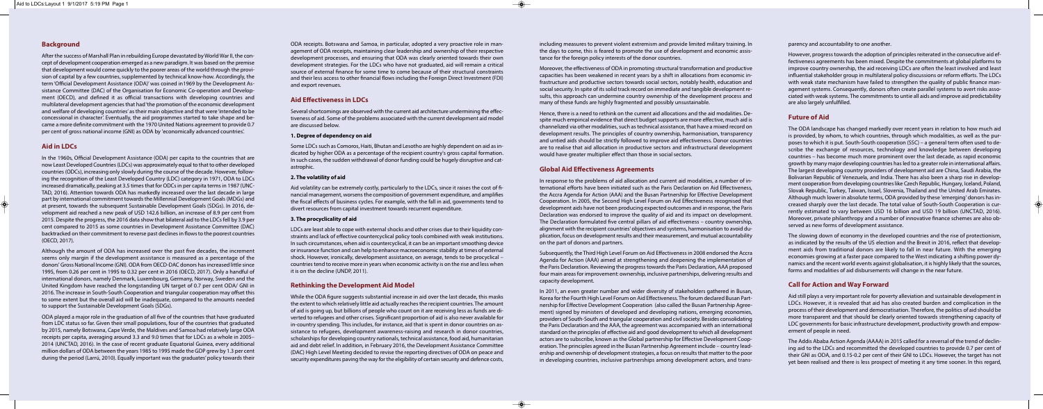## **Background**

After the success of Marshall Plan in rebuilding Europe devastated by World War II, the concept of development cooperation emerged as a new paradigm. It was based on the premise that development would come quickly to the poorer areas of the world through the provision of capital by a few countries, supplemented by technical know-how. Accordingly, the term 'Official Development Assistance (ODA)' was coined in1969 by the Development Assistance Committee (DAC) of the Organisation for Economic Co-operation and Development (OECD), and defined it as official transactions with developing countries and multilateral development agencies that had 'the promotion of the economic development and welfare of developing countries' as their main objective and that were 'intended to be concessional in character'. Eventually, the aid programmes started to take shape and became a more definite commitment with the 1970 United Nations agreement to provide 0.7 per cent of gross national income (GNI) as ODA by 'economically advanced countries'.

## **Aid in LDCs**

In the 1960s, Official Development Assistance (ODA) per capita to the countries that are now Least Developed Countries (LDCs) was approximately equal to that to other developed countries (ODCs), increasing only slowly during the course of the decade. However, following the recognition of the Least Developed Country (LDC) category in 1971, ODA to LDCs increased dramatically, peaking at 3.5 times that for ODCs in per capita terms in 1987 (UNC-TAD, 2016). Attention towards ODA has markedly increased over the last decade in large part by international commitment towards the Millennial Development Goals (MDGs) and at present, towards the subsequent Sustainable Development Goals (SDGs). In 2016, development aid reached a new peak of USD 142.6 billion, an increase of 8.9 per cent from 2015. Despite the progress, the 2016 data show that bilateral aid to the LDCs fell by 3.9 per cent compared to 2015 as some countries in Development Assistance Committee (DAC) backtracked on their commitment to reverse past declines in flows to the poorest countries (OECD, 2017).

Although the amount of ODA has increased over the past five decades, the increment seems only margin if the development assistance is measured as a percentage of the donors' Gross National Income (GNI). ODA from OECD-DAC donors has increased little since 1995, from 0.26 per cent in 1995 to 0.32 per cent in 2016 (OECD, 2017). Only a handful of international donors, namely Denmark, Luxembourg, Germany, Norway, Sweden and the United Kingdom have reached the longstanding UN target of 0.7 per cent ODA/ GNI in 2016. The increase in South-South Cooperation and triangular cooperation may offset this to some extent but the overall aid will be inadequate, compared to the amounts needed to support the Sustainable Development Goals (SDGs).

ODA played a major role in the graduation of all five of the countries that have graduated from LDC status so far. Given their small populations, four of the countries that graduated by 2015, namely Botswana, Cape Verde, the Maldives and Samoa had relatively large ODA receipts per capita, averaging around 3.3 and 9.0 times that for LDCs as a whole in 2005– 2014 (UNCTAD, 2016). In the case of recent graduate Equatorial Guinea, every additional million dollars of ODA between the years 1985 to 1995 made the GDP grew by 1.3 per cent during the period (Larrú, 2010). Equally important was the graduates' policy towards their

ODA receipts. Botswana and Samoa, in particular, adopted a very proactive role in management of ODA receipts, maintaining clear leadership and ownership of their respective development processes, and ensuring that ODA was clearly oriented towards their own development strategies. For the LDCs who have not graduated, aid will remain a critical source of external finance for some time to come because of their structural constraints and their less access to other financial flows including the Foreign Direct Investment (FDI) and export revenues.

## **Aid Effectiveness in LDCs**

Several shortcomings are observed with the current aid architecture undermining the effectiveness of aid. Some of the problems associated with the current development aid model are discussed below.

#### **1. Degree of dependency on aid**

Some LDCs such as Comoros, Haiti, Bhutan and Lesotho are highly dependent on aid as indicated by higher ODA as a percentage of the recipient country's gross capital formation. In such cases, the sudden withdrawal of donor funding could be hugely disruptive and catastrophic.

### **2. The volatility of aid**

Aid volatility can be extremely costly, particularly to the LDCs, since it raises the cost of financial management, worsens the composition of government expenditure, and amplifies the fiscal effects of business cycles. For example, with the fall in aid, governments tend to divert resources from capital investment towards recurrent expenditure.

#### **3. The procyclicality of aid**

LDCs are least able to cope with external shocks and other crises due to their liquidity constraints and lack of effective countercyclical policy tools combined with weak institutions. In such circumstances, when aid is countercyclical, it can be an important smoothing device or insurance function and can help to enhance macroeconomic stability at times of external shock. However, ironically, development assistance, on average, tends to be procyclical – countries tend to receive more in years when economic activity is on the rise and less when it is on the decline (UNDP, 2011).

## **Rethinking the Development Aid Model**

While the ODA figure suggests substantial increase in aid over the last decade, this masks the extent to which relatively little aid actually reaches the recipient countries. The amount of aid is going up, but billions of people who count on it are receiving less as funds are diverted to refugees and other crises. Significant proportion of aid is also never available for in-country spending. This includes, for instance, aid that is spent in donor countries on assistance to refugees, development awareness-raising and research in donor countries, scholarships for developing country nationals, technical assistance, food aid, humanitarian aid and debt relief. In addition, in February 2016, the Development Assistance Committee (DAC) High Level Meeting decided to revise the reporting directives of ODA on peace and security expenditures paving the way for the eligibility of certain security and defence costs, including measures to prevent violent extremism and provide limited military training. In the days to come, this is feared to promote the use of development and economic assistance for the foreign policy interests of the donor countries.

Moreover, the effectiveness of ODA in promoting structural transformation and productive capacities has been weakened in recent years by a shift in allocations from economic infrastructure and productive sectors towards social sectors, notably health, education and social security. In spite of its solid track record on immediate and tangible development results, this approach can undermine country ownership of the development process and many of these funds are highly fragmented and possibly unsustainable.

Hence, there is a need to rethink on the current aid allocations and the aid modalities. Despite much empirical evidence that direct budget supports are more effective, much aid is channelized via other modalities, such as technical assistance, that have a mixed record on development results. The principles of country ownership, harmonisation, transparency and untied aids should be strictly followed to improve aid effectiveness. Donor countries are to realise that aid allocation in productive sectors and infrastructural development would have greater multiplier effect than those in social sectors.

## **Global Aid Effectiveness Agreements**

In response to the problems of aid allocation and current aid modalities, a number of international efforts have been initiated such as the Paris Declaration on Aid Effectiveness, the Accra Agenda for Action (AAA) and the Busan Partnership for Effective Development Cooperation. In 2005, the Second High Level Forum on Aid Effectiveness recognised that development aids have not been producing expected outcomes and in response, the Paris Declaration was endorsed to improve the quality of aid and its impact on development. The Declaration formulated five central pillars of aid effectiveness – country ownership, alignment with the recipient countries' objectives and systems, harmonisation to avoid duplication, focus on development results and their measurement, and mutual accountability on the part of donors and partners.

Subsequently, the Third High Level Forum on Aid Effectiveness in 2008 endorsed the Accra Agenda for Action (AAA) aimed at strengthening and deepening the implementation of the Paris Declaration. Reviewing the progress towards the Paris Declaration, AAA proposed four main areas for improvement: ownership, inclusive partnerships, delivering results and capacity development.

In 2011, an even greater number and wider diversity of stakeholders gathered in Busan, Korea for the Fourth High Level Forum on Aid Effectiveness. The forum declared Busan Partnership for Effective Development Cooperation (also called the Busan Partnership Agreement) signed by ministers of developed and developing nations, emerging economies, providers of South-South and triangular cooperation and civil society. Besides consolidating the Paris Declaration and the AAA, the agreement was accompanied with an international standard on the principles of effective aid and good development to which all development actors are to subscribe, known as the Global partnership for Effective Development Cooperation. The principles agreed in the Busan Partnership Agreement include – country leadership and ownership of development strategies, a focus on results that matter to the poor in developing countries, inclusive partnerships among development actors, and transparency and accountability to one another.

However, progress towards the adoption of principles reiterated in the consecutive aid effectiveness agreements has been mixed. Despite the commitments at global platforms to improve country ownership, the aid receiving LDCs are often the least involved and least influential stakeholder group in multilateral policy discussions or reform efforts. The LDCs with weak state mechanism have failed to strengthen the quality of public finance management systems. Consequently, donors often create parallel systems to avert risks associated with weak systems. The commitments to untie all aids and improve aid predictability are also largely unfulfilled.

 $\overline{\phantom{a}}$ 

◈

## **Future of Aid**

The ODA landscape has changed markedly over recent years in relation to how much aid is provided, by whom, to which countries, through which modalities, as well as the purposes to which it is put. South-South cooperation (SSC) – a general term often used to describe the exchange of resources, technology and knowledge between developing countries – has become much more prominent over the last decade, as rapid economic growth by many major developing countries has led to a greater role in international affairs. The largest developing country providers of development aid are China, Saudi Arabia, the Bolivarian Republic of Venezuela, and India. There has also been a sharp rise in development cooperation from developing countries like Czech Republic, Hungary, Iceland, Poland, Slovak Republic, Turkey, Taiwan, Israel, Slovenia, Thailand and the United Arab Emirates. Although much lower in absolute terms, ODA provided by these 'emerging' donors has increased sharply over the last decade. The total value of South-South Cooperation is currently estimated to vary between USD 16 billion and USD 19 billion (UNCTAD, 2016). Moreover, private philanthropy and a number of innovative finance schemes are also observed as new forms of development assistance.

The slowing down of economy in the developed countries and the rise of protectionism, as indicated by the results of the US election and the Brexit in 2016, reflect that development aids from traditional donors are likely to fall in near future. With the emerging economies growing at a faster pace compared to the West indicating a shifting power dynamics and the recent world events against globalisation, it is highly likely that the sources, forms and modalities of aid disbursements will change in the near future.

## **Call for Action and Way Forward**

Aid still plays a very important role for poverty alleviation and sustainable development in LDCs. However, it is revealed that aid has also created burden and complication in the process of their development and democratisation. Therefore, the politics of aid should be more transparent and that should be clearly oriented towards strengthening capacity of LDC governments for basic infrastructure development, productivity growth and empowerment of people in need.

The Addis Ababa Action Agenda (AAAA) in 2015 called for a reversal of the trend of declining aid to the LDCs and recommitted the developed countries to provide 0.7 per cent of their GNI as ODA, and 0.15-0.2 per cent of their GNI to LDCs. However, the target has not yet been realised and there is less prospect of meeting it any time sooner. In this regard,